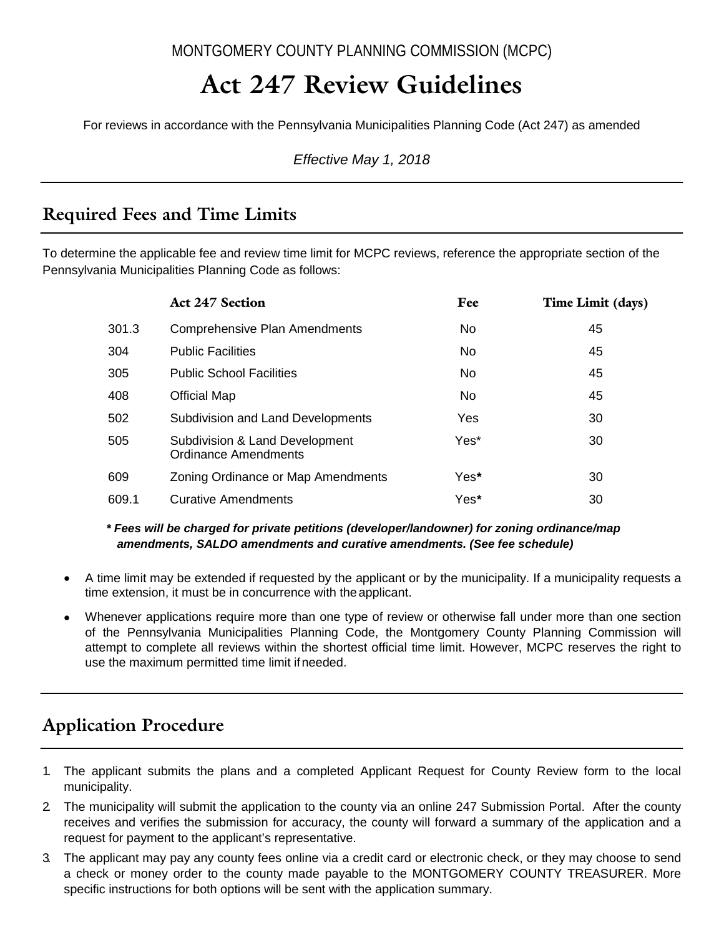MONTGOMERY COUNTY PLANNING COMMISSION (MCPC)

# **Act 247 Review Guidelines**

For reviews in accordance with the Pennsylvania Municipalities Planning Code (Act 247) as amended

*Effective May 1, 2018*

### **Required Fees and Time Limits**

To determine the applicable fee and review time limit for MCPC reviews, reference the appropriate section of the Pennsylvania Municipalities Planning Code as follows:

|       | <b>Act 247 Section</b>                                        | Fee  | Time Limit (days) |
|-------|---------------------------------------------------------------|------|-------------------|
| 301.3 | <b>Comprehensive Plan Amendments</b>                          | No.  | 45                |
| 304   | <b>Public Facilities</b>                                      | No.  | 45                |
| 305   | <b>Public School Facilities</b>                               | No.  | 45                |
| 408   | <b>Official Map</b>                                           | No.  | 45                |
| 502   | <b>Subdivision and Land Developments</b>                      | Yes  | 30                |
| 505   | Subdivision & Land Development<br><b>Ordinance Amendments</b> | Yes* | 30                |
| 609   | Zoning Ordinance or Map Amendments                            | Yes* | 30                |
| 609.1 | <b>Curative Amendments</b>                                    | Yes* | 30                |

*\* Fees will be charged for private petitions (developer/landowner) for zoning ordinance/map amendments, SALDO amendments and curative amendments. (See fee schedule)*

- A time limit may be extended if requested by the applicant or by the municipality. If a municipality requests a time extension, it must be in concurrence with theapplicant.
- Whenever applications require more than one type of review or otherwise fall under more than one section of the Pennsylvania Municipalities Planning Code, the Montgomery County Planning Commission will attempt to complete all reviews within the shortest official time limit. However, MCPC reserves the right to use the maximum permitted time limit ifneeded.

# **Application Procedure**

- 1. The applicant submits the plans and a completed Applicant Request for County Review form to the local municipality.
- 2. The municipality will submit the application to the county via an online 247 Submission Portal. After the county receives and verifies the submission for accuracy, the county will forward a summary of the application and a request for payment to the applicant's representative.
- 3. The applicant may pay any county fees online via a credit card or electronic check, or they may choose to send a check or money order to the county made payable to the MONTGOMERY COUNTY TREASURER. More specific instructions for both options will be sent with the application summary.